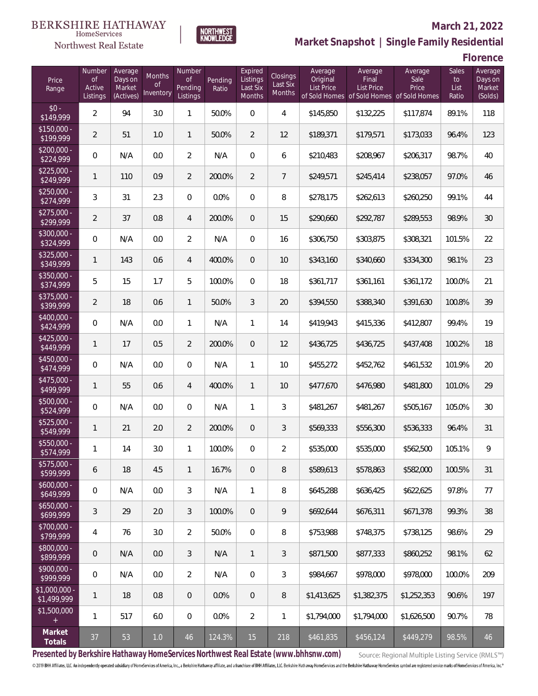

### **March 21, 2022**

**Market Snapshot | Single Family Residential**

**Florence**

| Price<br>Range                | Number<br><b>of</b><br>Active<br>Listings | Average<br>Days on<br>Market<br>(Actives) | <b>Months</b><br>of<br>Inventory | Number<br>Οf<br>Pending<br>Listings | Pending<br>Ratio | Expired<br>Listings<br>Last Six<br><b>Months</b> | Closings<br>Last Six<br><b>Months</b> | Average<br>Original<br><b>List Price</b> | Average<br>Final<br><b>List Price</b><br>of Sold Homes of Sold Homes of Sold Homes | Average<br>Sale<br>Price | <b>Sales</b><br>to<br>List<br>Ratio | Average<br>Days on<br>Market<br>(Solds) |
|-------------------------------|-------------------------------------------|-------------------------------------------|----------------------------------|-------------------------------------|------------------|--------------------------------------------------|---------------------------------------|------------------------------------------|------------------------------------------------------------------------------------|--------------------------|-------------------------------------|-----------------------------------------|
| $$0 -$<br>\$149,999           | $\overline{2}$                            | 94                                        | 3.0                              | 1                                   | 50.0%            | $\overline{0}$                                   | 4                                     | \$145,850                                | \$132,225                                                                          | \$117,874                | 89.1%                               | 118                                     |
| $$150.000 -$<br>\$199,999     | $\overline{2}$                            | 51                                        | 1.0                              | $\mathbf{1}$                        | 50.0%            | $\overline{2}$                                   | 12                                    | \$189,371                                | \$179,571                                                                          | \$173,033                | 96.4%                               | 123                                     |
| $$200.000 -$<br>\$224,999     | 0                                         | N/A                                       | 0.0                              | $\overline{2}$                      | N/A              | $\overline{0}$                                   | 6                                     | \$210,483                                | \$208,967                                                                          | \$206,317                | 98.7%                               | 40                                      |
| $$225.000 -$<br>\$249,999     | 1                                         | 110                                       | 0.9                              | $\overline{2}$                      | 200.0%           | $\overline{2}$                                   | $\overline{7}$                        | \$249,571                                | \$245,414                                                                          | \$238,057                | 97.0%                               | 46                                      |
| $$250,000 -$<br>\$274,999     | 3                                         | 31                                        | 2.3                              | $\overline{0}$                      | 0.0%             | $\overline{0}$                                   | 8                                     | \$278,175                                | \$262,613                                                                          | \$260,250                | 99.1%                               | 44                                      |
| $$275,000 -$<br>\$299,999     | $\overline{2}$                            | 37                                        | 0.8                              | 4                                   | 200.0%           | $\overline{0}$                                   | 15                                    | \$290,660                                | \$292,787                                                                          | \$289,553                | 98.9%                               | 30                                      |
| \$300,000 -<br>\$324,999      | 0                                         | N/A                                       | 0.0                              | $\overline{2}$                      | N/A              | $\overline{0}$                                   | 16                                    | \$306,750                                | \$303,875                                                                          | \$308,321                | 101.5%                              | 22                                      |
| \$325,000 -<br>\$349,999      | 1                                         | 143                                       | 0.6                              | $\overline{4}$                      | 400.0%           | $\overline{0}$                                   | 10                                    | \$343,160                                | \$340,660                                                                          | \$334,300                | 98.1%                               | 23                                      |
| \$350,000 -<br>\$374,999      | 5                                         | 15                                        | 1.7                              | 5                                   | 100.0%           | $\overline{0}$                                   | 18                                    | \$361,717                                | \$361,161                                                                          | \$361,172                | 100.0%                              | 21                                      |
| \$375,000 -<br>\$399,999      | $\overline{2}$                            | 18                                        | 0.6                              | $\mathbf{1}$                        | 50.0%            | 3                                                | 20                                    | \$394,550                                | \$388,340                                                                          | \$391,630                | 100.8%                              | 39                                      |
| \$400,000 -<br>\$424,999      | 0                                         | N/A                                       | 0.0                              | 1                                   | N/A              | $\mathbf{1}$                                     | 14                                    | \$419,943                                | \$415,336                                                                          | \$412,807                | 99.4%                               | 19                                      |
| $$425,000 -$<br>\$449,999     | 1                                         | 17                                        | 0.5                              | 2                                   | 200.0%           | $\overline{0}$                                   | 12                                    | \$436,725                                | \$436,725                                                                          | \$437,408                | 100.2%                              | 18                                      |
| $$450,000 -$<br>\$474,999     | 0                                         | N/A                                       | 0.0                              | $\mathbf{0}$                        | N/A              | $\mathbf{1}$                                     | 10                                    | \$455,272                                | \$452,762                                                                          | \$461,532                | 101.9%                              | 20                                      |
| \$475,000 -<br>\$499,999      | 1                                         | 55                                        | 0.6                              | 4                                   | 400.0%           | $\mathbf{1}$                                     | 10                                    | \$477,670                                | \$476,980                                                                          | \$481,800                | 101.0%                              | 29                                      |
| \$500,000 -<br>\$524,999      | 0                                         | N/A                                       | 0.0                              | $\mathbf{0}$                        | N/A              | 1                                                | 3                                     | \$481,267                                | \$481,267                                                                          | \$505,167                | 105.0%                              | 30                                      |
| $$525,000 -$<br>\$549,999     | $\mathbf{1}$                              | 21                                        | 2.0                              | $\overline{2}$                      | 200.0%           | $\overline{0}$                                   | 3                                     | \$569,333                                | \$556,300                                                                          | \$536,333                | 96.4%                               | 31                                      |
| \$550,000 -<br>\$574,999      | 1                                         | 14                                        | 3.0                              | $\mathbf{1}$                        | 100.0%           | 0                                                | $\overline{2}$                        | \$535,000                                | \$535,000                                                                          | \$562,500                | 105.1%                              | 9                                       |
| $$575,000 -$<br>\$599,999     | 6                                         | 18                                        | 4.5                              | $\mathbf{1}$                        | 16.7%            | 0                                                | 8                                     | \$589,613                                | \$578,863                                                                          | \$582,000                | 100.5%                              | 31                                      |
| $$600,000 -$<br>\$649,999     | 0                                         | N/A                                       | 0.0                              | 3                                   | N/A              | $\mathbf{1}$                                     | 8                                     | \$645,288                                | \$636,425                                                                          | \$622,625                | 97.8%                               | 77                                      |
| $$650,000 -$<br>\$699,999     | 3                                         | 29                                        | 2.0                              | 3                                   | 100.0%           | $\overline{0}$                                   | 9                                     | \$692,644                                | \$676,311                                                                          | \$671,378                | 99.3%                               | 38                                      |
| \$700,000 -<br>\$799,999      | 4                                         | 76                                        | 3.0                              | $\overline{2}$                      | 50.0%            | $\mathbb O$                                      | 8                                     | \$753,988                                | \$748,375                                                                          | \$738,125                | 98.6%                               | 29                                      |
| $$800,000 -$<br>\$899,999     | 0                                         | N/A                                       | 0.0                              | 3                                   | N/A              | $\mathbf{1}$                                     | 3                                     | \$871,500                                | \$877,333                                                                          | \$860,252                | 98.1%                               | 62                                      |
| $$900,000 -$<br>\$999,999     | 0                                         | N/A                                       | 0.0                              | $\overline{2}$                      | N/A              | 0                                                | 3                                     | \$984,667                                | \$978,000                                                                          | \$978,000                | 100.0%                              | 209                                     |
| $$1,000,000$ -<br>\$1,499,999 | $\mathbf{1}$                              | 18                                        | 0.8                              | $\overline{0}$                      | 0.0%             | $\overline{0}$                                   | $\, 8$                                | \$1,413,625                              | \$1,382,375                                                                        | \$1,252,353              | 90.6%                               | 197                                     |
| \$1,500,000<br>$\pm$          | 1                                         | 517                                       | 6.0                              | $\boldsymbol{0}$                    | 0.0%             | $\overline{2}$                                   | 1                                     | \$1,794,000                              | \$1,794,000                                                                        | \$1,626,500              | 90.7%                               | 78                                      |
| Market<br>Totals              | 37                                        | 53                                        | $1.0$                            | 46                                  | 124.3%           | 15                                               | 218                                   | \$461,835                                | \$456,124                                                                          | \$449,279                | 98.5%                               | 46                                      |

NORTHWEST<br>KNOWLFDGF

**Presented by Berkshire Hathaway HomeServices Northwest Real Estate (www.bhhsnw.com)**

Source: Regional Multiple Listing Service (RMLS™)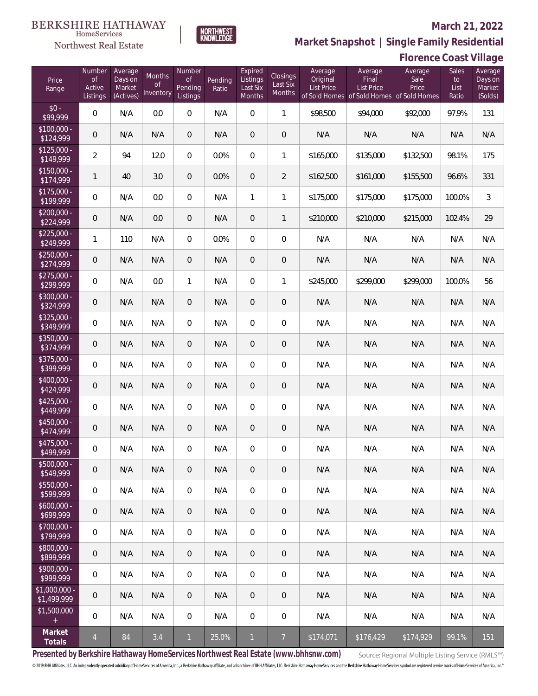# Northwest Real Estate

## **March 21, 2022**

**Market Snapshot | Single Family Residential**

|                              |                                           |                                           |                           |                                            |                  |                                           |                                       |                                          |                                                                                    | <b>Florence Coast Village</b> |                              |                                         |
|------------------------------|-------------------------------------------|-------------------------------------------|---------------------------|--------------------------------------------|------------------|-------------------------------------------|---------------------------------------|------------------------------------------|------------------------------------------------------------------------------------|-------------------------------|------------------------------|-----------------------------------------|
| Price<br>Range               | Number<br><b>of</b><br>Active<br>Listings | Average<br>Days on<br>Market<br>(Actives) | Months<br>0f<br>Inventory | Number<br><b>of</b><br>Pending<br>Listings | Pending<br>Ratio | Expired<br>Listings<br>Last Six<br>Months | Closings<br>Last Six<br><b>Months</b> | Average<br>Original<br><b>List Price</b> | Average<br>Final<br><b>List Price</b><br>of Sold Homes of Sold Homes of Sold Homes | Average<br>Sale<br>Price      | Sales<br>to<br>List<br>Ratio | Average<br>Days on<br>Market<br>(Solds) |
| $$0 -$<br>\$99,999           | 0                                         | N/A                                       | 0.0                       | $\overline{0}$                             | N/A              | $\overline{0}$                            | $\mathbf{1}$                          | \$98,500                                 | \$94,000                                                                           | \$92,000                      | 97.9%                        | 131                                     |
| $$100,000 -$<br>\$124,999    | $\mathbf 0$                               | N/A                                       | N/A                       | $\overline{0}$                             | N/A              | $\mathbf{0}$                              | $\mathbf 0$                           | N/A                                      | N/A                                                                                | N/A                           | N/A                          | N/A                                     |
| $$125,000 -$<br>\$149,999    | $\overline{2}$                            | 94                                        | 12.0                      | 0                                          | 0.0%             | $\mathbf{0}$                              | 1                                     | \$165,000                                | \$135,000                                                                          | \$132,500                     | 98.1%                        | 175                                     |
| $$150,000 -$<br>\$174,999    | $\mathbf{1}$                              | 40                                        | 3.0                       | $\overline{0}$                             | 0.0%             | $\mathbf{0}$                              | $\overline{2}$                        | \$162,500                                | \$161,000                                                                          | \$155,500                     | 96.6%                        | 331                                     |
| $$175,000 -$<br>\$199,999    | 0                                         | N/A                                       | 0.0                       | $\overline{0}$                             | N/A              | 1                                         | 1                                     | \$175,000                                | \$175,000                                                                          | \$175,000                     | 100.0%                       | 3                                       |
| $$200,000 -$<br>\$224,999    | $\mathbf 0$                               | N/A                                       | 0.0                       | $\mathbf 0$                                | N/A              | $\overline{0}$                            | 1                                     | \$210,000                                | \$210,000                                                                          | \$215,000                     | 102.4%                       | 29                                      |
| $$225,000 -$<br>\$249,999    | 1                                         | 110                                       | N/A                       | $\overline{0}$                             | 0.0%             | $\overline{0}$                            | $\boldsymbol{0}$                      | N/A                                      | N/A                                                                                | N/A                           | N/A                          | N/A                                     |
| $$250,000 -$<br>\$274,999    | $\mathbf 0$                               | N/A                                       | N/A                       | $\overline{0}$                             | N/A              | $\mathbf{0}$                              | $\overline{0}$                        | N/A                                      | N/A                                                                                | N/A                           | N/A                          | N/A                                     |
| $$275,000 -$<br>\$299,999    | 0                                         | N/A                                       | 0.0                       | $\mathbf{1}$                               | N/A              | $\overline{0}$                            | 1                                     | \$245,000                                | \$299,000                                                                          | \$299,000                     | 100.0%                       | 56                                      |
| \$300,000 -<br>\$324,999     | $\mathbf 0$                               | N/A                                       | N/A                       | $\overline{0}$                             | N/A              | $\overline{0}$                            | $\overline{0}$                        | N/A                                      | N/A                                                                                | N/A                           | N/A                          | N/A                                     |
| \$325,000 -<br>\$349,999     | 0                                         | N/A                                       | N/A                       | $\overline{0}$                             | N/A              | $\overline{0}$                            | $\boldsymbol{0}$                      | N/A                                      | N/A                                                                                | N/A                           | N/A                          | N/A                                     |
| \$350,000 -<br>\$374,999     | $\mathbf 0$                               | N/A                                       | N/A                       | $\overline{0}$                             | N/A              | 0                                         | $\overline{0}$                        | N/A                                      | N/A                                                                                | N/A                           | N/A                          | N/A                                     |
| \$375,000 -<br>\$399,999     | 0                                         | N/A                                       | N/A                       | $\overline{0}$                             | N/A              | $\overline{0}$                            | $\boldsymbol{0}$                      | N/A                                      | N/A                                                                                | N/A                           | N/A                          | N/A                                     |
| \$400,000 -<br>\$424,999     | $\mathbf 0$                               | N/A                                       | N/A                       | $\overline{0}$                             | N/A              | 0                                         | $\overline{0}$                        | N/A                                      | N/A                                                                                | N/A                           | N/A                          | N/A                                     |
| $$425,000 -$<br>\$449,999    | 0                                         | N/A                                       | N/A                       | $\overline{0}$                             | N/A              | $\overline{0}$                            | $\boldsymbol{0}$                      | N/A                                      | N/A                                                                                | N/A                           | N/A                          | N/A                                     |
| $$450,000 -$<br>\$474,999    | $\mathbf 0$                               | N/A                                       | N/A                       | $\mathbf 0$                                | N/A              | 0                                         | $\overline{0}$                        | N/A                                      | N/A                                                                                | N/A                           | N/A                          | N/A                                     |
| \$475,000 -<br>\$499,999     | 0                                         | N/A                                       | N/A                       | 0                                          | N/A              | 0                                         | $\mathbf 0$                           | N/A                                      | N/A                                                                                | N/A                           | N/A                          | N/A                                     |
| $$500,000 -$<br>\$549,999    | 0                                         | N/A                                       | N/A                       | $\overline{0}$                             | N/A              | $\overline{0}$                            | $\overline{0}$                        | N/A                                      | N/A                                                                                | N/A                           | N/A                          | N/A                                     |
| $$550,000 -$<br>\$599,999    | $\boldsymbol{0}$                          | N/A                                       | N/A                       | 0                                          | N/A              | $\mathbf 0$                               | $\boldsymbol{0}$                      | N/A                                      | N/A                                                                                | N/A                           | N/A                          | N/A                                     |
| $$600,000 -$<br>\$699,999    | 0                                         | N/A                                       | N/A                       | $\overline{0}$                             | N/A              | $\overline{0}$                            | $\overline{0}$                        | N/A                                      | N/A                                                                                | N/A                           | N/A                          | N/A                                     |
| $$700,000 -$<br>\$799,999    | 0                                         | N/A                                       | N/A                       | 0                                          | N/A              | $\overline{0}$                            | 0                                     | N/A                                      | N/A                                                                                | N/A                           | N/A                          | N/A                                     |
| $$800,000 -$<br>\$899,999    | 0                                         | N/A                                       | N/A                       | $\overline{0}$                             | N/A              | $\overline{0}$                            | $\mathbf 0$                           | N/A                                      | N/A                                                                                | N/A                           | N/A                          | N/A                                     |
| \$900,000 -<br>\$999,999     | 0                                         | N/A                                       | N/A                       | 0                                          | N/A              | $\overline{0}$                            | 0                                     | N/A                                      | N/A                                                                                | N/A                           | N/A                          | N/A                                     |
| \$1,000,000 -<br>\$1,499,999 | 0                                         | N/A                                       | N/A                       | 0                                          | N/A              | $\overline{0}$                            | $\mathbf 0$                           | N/A                                      | N/A                                                                                | N/A                           | N/A                          | N/A                                     |
| \$1,500,000<br>$+$           | 0                                         | N/A                                       | N/A                       | $\boldsymbol{0}$                           | N/A              | $\overline{0}$                            | 0                                     | N/A                                      | N/A                                                                                | N/A                           | N/A                          | N/A                                     |
| Market<br>Totals             | $\overline{4}$                            | 84                                        | 3.4                       | $\mathbf{1}$                               | 25.0%            | $\mathbf{1}$                              | $\overline{7}$                        | \$174,071                                | \$176,429                                                                          | \$174,929                     | 99.1%                        | 151                                     |

NORTHWEST<br>KNOWLFDGF

**Presented by Berkshire Hathaway HomeServices Northwest Real Estate (www.bhhsnw.com)**

Source: Regional Multiple Listing Service (RMLS™)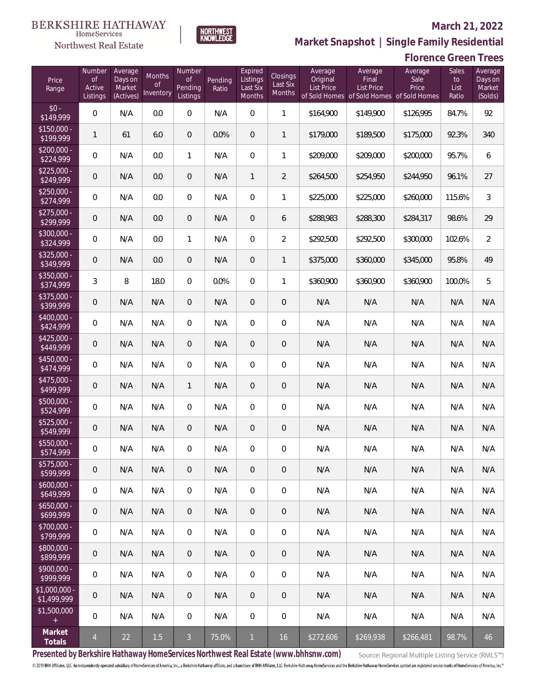# Northwest Real Estate

## **March 21, 2022**

**Market Snapshot | Single Family Residential**

# **Florence Green Trees**

| Price<br>Range               | Number<br><b>of</b><br>Active<br>Listings | Average<br>Days on<br>Market<br>(Actives) | <b>Months</b><br><b>of</b><br>Inventory | Number<br><b>of</b><br>Pending<br>Listings | Pending<br>Ratio | Expired<br>Listings<br>Last Six<br>Months | Closings<br>Last Six<br>Months | Average<br>Original<br><b>List Price</b> | Average<br>Final<br><b>List Price</b><br>of Sold Homes of Sold Homes of Sold Homes | Average<br>Sale<br>Price | <b>Sales</b><br>to<br>List<br>Ratio | Average<br>Days on<br>Market<br>(Solds) |
|------------------------------|-------------------------------------------|-------------------------------------------|-----------------------------------------|--------------------------------------------|------------------|-------------------------------------------|--------------------------------|------------------------------------------|------------------------------------------------------------------------------------|--------------------------|-------------------------------------|-----------------------------------------|
| $$0 -$<br>\$149,999          | $\Omega$                                  | N/A                                       | 0.0                                     | $\Omega$                                   | N/A              | $\Omega$                                  | $\mathbf{1}$                   | \$164,900                                | \$149,900                                                                          | \$126,995                | 84.7%                               | 92                                      |
| $$150,000 -$<br>\$199,999    | $\mathbf{1}$                              | 61                                        | 6.0                                     | $\overline{0}$                             | 0.0%             | $\overline{0}$                            | $\mathbf{1}$                   | \$179,000                                | \$189,500                                                                          | \$175,000                | 92.3%                               | 340                                     |
| $$200,000 -$<br>\$224,999    | $\overline{0}$                            | N/A                                       | 0.0                                     | $\mathbf{1}$                               | N/A              | $\overline{0}$                            | 1                              | \$209,000                                | \$209,000                                                                          | \$200,000                | 95.7%                               | 6                                       |
| $$225,000 -$<br>\$249,999    | $\mathbf 0$                               | N/A                                       | 0.0                                     | $\overline{0}$                             | N/A              | $\mathbf{1}$                              | $\overline{2}$                 | \$264,500                                | \$254,950                                                                          | \$244,950                | 96.1%                               | 27                                      |
| $$250,000 -$<br>\$274,999    | $\overline{0}$                            | N/A                                       | 0.0                                     | $\overline{0}$                             | N/A              | $\overline{0}$                            | $\mathbf{1}$                   | \$225,000                                | \$225,000                                                                          | \$260,000                | 115.6%                              | 3                                       |
| $$275,000 -$<br>\$299,999    | $\mathbf 0$                               | N/A                                       | 0.0                                     | $\overline{0}$                             | N/A              | $\overline{0}$                            | 6                              | \$288,983                                | \$288,300                                                                          | \$284,317                | 98.6%                               | 29                                      |
| \$300,000 -<br>\$324,999     | 0                                         | N/A                                       | 0.0                                     | $\mathbf{1}$                               | N/A              | 0                                         | $\overline{2}$                 | \$292,500                                | \$292,500                                                                          | \$300,000                | 102.6%                              | $\overline{2}$                          |
| \$325,000 -<br>\$349,999     | $\mathbf 0$                               | N/A                                       | 0.0                                     | $\overline{0}$                             | N/A              | $\overline{0}$                            | 1                              | \$375,000                                | \$360,000                                                                          | \$345,000                | 95.8%                               | 49                                      |
| \$350,000 -<br>\$374,999     | 3                                         | 8                                         | 18.0                                    | $\overline{0}$                             | 0.0%             | $\overline{0}$                            | 1                              | \$360,900                                | \$360,900                                                                          | \$360,900                | 100.0%                              | 5                                       |
| $$375,000 -$<br>\$399,999    | $\mathbf 0$                               | N/A                                       | N/A                                     | $\overline{0}$                             | N/A              | $\overline{0}$                            | $\mathbf 0$                    | N/A                                      | N/A                                                                                | N/A                      | N/A                                 | N/A                                     |
| $$400,000 -$<br>\$424,999    | 0                                         | N/A                                       | N/A                                     | $\mathbf{0}$                               | N/A              | $\mathbf{0}$                              | 0                              | N/A                                      | N/A                                                                                | N/A                      | N/A                                 | N/A                                     |
| $$425,000 -$<br>\$449,999    | $\mathbf 0$                               | N/A                                       | N/A                                     | $\overline{0}$                             | N/A              | $\overline{0}$                            | $\mathbf 0$                    | N/A                                      | N/A                                                                                | N/A                      | N/A                                 | N/A                                     |
| \$450,000 -<br>\$474,999     | $\overline{0}$                            | N/A                                       | N/A                                     | $\overline{0}$                             | N/A              | $\Omega$                                  | $\overline{0}$                 | N/A                                      | N/A                                                                                | N/A                      | N/A                                 | N/A                                     |
| $$475,000 -$<br>\$499,999    | $\mathbf 0$                               | N/A                                       | N/A                                     | $\mathbf{1}$                               | N/A              | $\overline{0}$                            | $\overline{0}$                 | N/A                                      | N/A                                                                                | N/A                      | N/A                                 | N/A                                     |
| \$500,000 -<br>\$524,999     | 0                                         | N/A                                       | N/A                                     | $\overline{0}$                             | N/A              | $\Omega$                                  | $\overline{0}$                 | N/A                                      | N/A                                                                                | N/A                      | N/A                                 | N/A                                     |
| $$525,000 -$<br>\$549,999    | $\mathbf 0$                               | N/A                                       | N/A                                     | $\overline{0}$                             | N/A              | $\overline{0}$                            | $\mathbf 0$                    | N/A                                      | N/A                                                                                | N/A                      | N/A                                 | N/A                                     |
| \$550,000 -<br>\$574,999     | 0                                         | N/A                                       | N/A                                     | $\overline{0}$                             | N/A              | $\overline{0}$                            | $\mathbf 0$                    | N/A                                      | N/A                                                                                | N/A                      | N/A                                 | N/A                                     |
| \$575,000 -<br>\$599,999     | 0                                         | N/A                                       | N/A                                     | $\mathbf 0$                                | N/A              | $\mathbf 0$                               | 0                              | N/A                                      | N/A                                                                                | N/A                      | N/A                                 | N/A                                     |
| $$600,000 -$<br>\$649,999    | $\boldsymbol{0}$                          | N/A                                       | N/A                                     | $\mathbf 0$                                | N/A              | $\mathbf 0$                               | 0                              | N/A                                      | N/A                                                                                | N/A                      | N/A                                 | N/A                                     |
| $$650,000 -$<br>\$699,999    | $\boldsymbol{0}$                          | N/A                                       | N/A                                     | $\mathbf{0}$                               | N/A              | $\mathbf 0$                               | $\mathsf{O}\xspace$            | N/A                                      | N/A                                                                                | N/A                      | N/A                                 | N/A                                     |
| \$700,000 -<br>\$799,999     | 0                                         | N/A                                       | N/A                                     | $\mathbf 0$                                | N/A              | $\mathbf 0$                               | 0                              | N/A                                      | N/A                                                                                | N/A                      | N/A                                 | N/A                                     |
| \$800,000 -<br>\$899,999     | 0                                         | N/A                                       | N/A                                     | $\overline{0}$                             | N/A              | $\overline{0}$                            | $\mathsf{O}\xspace$            | N/A                                      | N/A                                                                                | N/A                      | N/A                                 | N/A                                     |
| \$900,000 -<br>\$999,999     | 0                                         | N/A                                       | N/A                                     | $\mathbf 0$                                | N/A              | $\overline{0}$                            | 0                              | N/A                                      | N/A                                                                                | N/A                      | N/A                                 | N/A                                     |
| \$1,000,000 -<br>\$1,499,999 | 0                                         | N/A                                       | N/A                                     | $\overline{0}$                             | N/A              | $\overline{0}$                            | $\mathsf{O}\xspace$            | N/A                                      | N/A                                                                                | N/A                      | N/A                                 | N/A                                     |
| \$1,500,000<br>$^+$          | $\overline{0}$                            | N/A                                       | N/A                                     | $\overline{0}$                             | N/A              | $\overline{0}$                            | $\mathbf 0$                    | N/A                                      | N/A                                                                                | N/A                      | N/A                                 | N/A                                     |
| Market<br>Totals             | $\overline{4}$                            | 22                                        | $1.5$                                   | $\overline{3}$                             | 75.0%            | $\mathbf{1}$                              | $16\,$                         | \$272,606                                | \$269,938                                                                          | \$266,481                | 98.7%                               | 46                                      |

NORTHWEST<br>KNOWLFDGF

**Presented by Berkshire Hathaway HomeServices Northwest Real Estate (www.bhhsnw.com)**

Source: Regional Multiple Listing Service (RMLS™)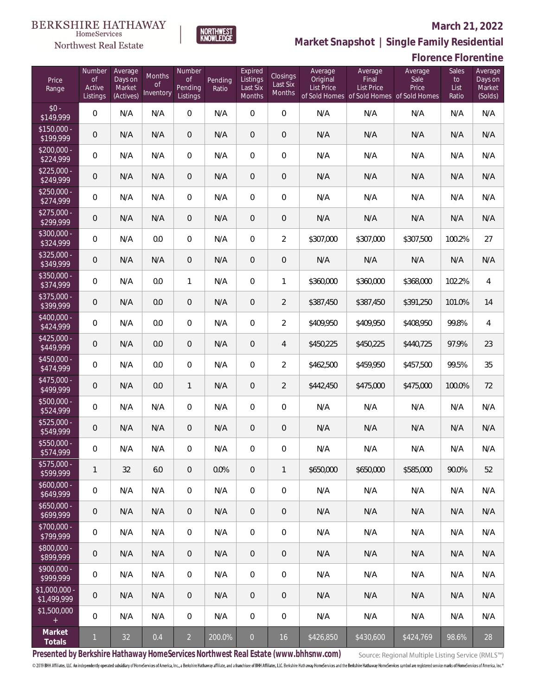### **March 21, 2022**

**Florence Florentine**



**Market Snapshot | Single Family Residential**

# Northwest Real Estate

| Price<br>Range               | Number<br><b>of</b><br>Active<br>Listings | Average<br>Days on<br>Market<br>(Actives) | <b>Months</b><br>of<br>Inventory | Number<br><b>of</b><br>Pending<br>Listings | Pending<br>Ratio | Expired<br>Listings<br>Last Six<br>Months | Closings<br>Last Six<br><b>Months</b> | Average<br>Original<br><b>List Price</b> | Average<br>Final<br><b>List Price</b><br>of Sold Homes of Sold Homes of Sold Homes | Average<br>Sale<br>Price | Sales<br>to<br>List<br>Ratio | Average<br>Days on<br>Market<br>(Solds) |
|------------------------------|-------------------------------------------|-------------------------------------------|----------------------------------|--------------------------------------------|------------------|-------------------------------------------|---------------------------------------|------------------------------------------|------------------------------------------------------------------------------------|--------------------------|------------------------------|-----------------------------------------|
| $$0 -$<br>$\sqrt{$149,999}$  | 0                                         | N/A                                       | N/A                              | $\overline{0}$                             | N/A              | 0                                         | $\overline{0}$                        | N/A                                      | N/A                                                                                | N/A                      | N/A                          | N/A                                     |
| $$150,000 -$<br>\$199,999    | $\mathsf{O}\xspace$                       | N/A                                       | N/A                              | $\overline{0}$                             | N/A              | $\overline{0}$                            | $\mathbf 0$                           | N/A                                      | N/A                                                                                | N/A                      | N/A                          | N/A                                     |
| $$200,000 -$<br>\$224,999    | 0                                         | N/A                                       | N/A                              | $\overline{0}$                             | N/A              | 0                                         | 0                                     | N/A                                      | N/A                                                                                | N/A                      | N/A                          | N/A                                     |
| $$225,000 -$<br>\$249,999    | $\mathsf{O}\xspace$                       | N/A                                       | N/A                              | 0                                          | N/A              | 0                                         | $\mathbf 0$                           | N/A                                      | N/A                                                                                | N/A                      | N/A                          | N/A                                     |
| $$250.000 -$<br>\$274,999    | 0                                         | N/A                                       | N/A                              | 0                                          | N/A              | 0                                         | 0                                     | N/A                                      | N/A                                                                                | N/A                      | N/A                          | N/A                                     |
| $$275,000 -$<br>\$299,999    | $\mathsf{O}\xspace$                       | N/A                                       | N/A                              | $\mathbf 0$                                | N/A              | 0                                         | $\mathbf 0$                           | N/A                                      | N/A                                                                                | N/A                      | N/A                          | N/A                                     |
| \$300,000 -<br>\$324,999     | 0                                         | N/A                                       | 0.0                              | 0                                          | N/A              | 0                                         | $\overline{2}$                        | \$307,000                                | \$307,000                                                                          | \$307,500                | 100.2%                       | 27                                      |
| $$325,000 -$<br>\$349,999    | $\mathbf 0$                               | N/A                                       | N/A                              | $\mathbf 0$                                | N/A              | 0                                         | 0                                     | N/A                                      | N/A                                                                                | N/A                      | N/A                          | N/A                                     |
| \$350,000 -<br>\$374,999     | 0                                         | N/A                                       | 0.0                              | $\mathbf{1}$                               | N/A              | 0                                         | 1                                     | \$360,000                                | \$360,000                                                                          | \$368,000                | 102.2%                       | $\overline{4}$                          |
| \$375,000 -<br>\$399,999     | $\mathbf 0$                               | N/A                                       | 0.0                              | $\boldsymbol{0}$                           | N/A              | 0                                         | $\overline{2}$                        | \$387,450                                | \$387,450                                                                          | \$391,250                | 101.0%                       | 14                                      |
| $$400,000 -$<br>\$424,999    | 0                                         | N/A                                       | 0.0                              | 0                                          | N/A              | 0                                         | $\overline{2}$                        | \$409,950                                | \$409,950                                                                          | \$408,950                | 99.8%                        | $\overline{4}$                          |
| $$425,000 -$<br>\$449,999    | $\mathsf{O}\xspace$                       | N/A                                       | 0.0                              | $\mathbf 0$                                | N/A              | 0                                         | 4                                     | \$450,225                                | \$450,225                                                                          | \$440,725                | 97.9%                        | 23                                      |
| $$450,000 -$<br>\$474,999    | 0                                         | N/A                                       | 0.0                              | $\overline{0}$                             | N/A              | 0                                         | $\overline{2}$                        | \$462,500                                | \$459,950                                                                          | \$457,500                | 99.5%                        | 35                                      |
| $$475,000 -$<br>\$499,999    | $\mathbf 0$                               | N/A                                       | 0.0                              | $\mathbf{1}$                               | N/A              | 0                                         | $\overline{2}$                        | \$442,450                                | \$475,000                                                                          | \$475,000                | 100.0%                       | 72                                      |
| $$500,000 -$<br>\$524,999    | 0                                         | N/A                                       | N/A                              | $\overline{0}$                             | N/A              | 0                                         | 0                                     | N/A                                      | N/A                                                                                | N/A                      | N/A                          | N/A                                     |
| $$525,000 -$<br>\$549,999    | $\mathsf{O}\xspace$                       | N/A                                       | N/A                              | $\mathbf 0$                                | N/A              | 0                                         | $\mathbf 0$                           | N/A                                      | N/A                                                                                | N/A                      | N/A                          | N/A                                     |
| \$550,000 -<br>\$574,999     | $\mathbf 0$                               | N/A                                       | N/A                              | 0                                          | N/A              | 0                                         | 0                                     | N/A                                      | N/A                                                                                | N/A                      | N/A                          | N/A                                     |
| \$575,000 -<br>\$599,999     | $\mathbf{1}$                              | 32                                        | 6.0                              | $\mathbf 0$                                | 0.0%             | 0                                         | 1                                     | \$650,000                                | \$650,000                                                                          | \$585,000                | 90.0%                        | 52                                      |
| $$600,000 -$<br>\$649,999    | $\mathbf 0$                               | N/A                                       | N/A                              | 0                                          | N/A              | 0                                         | 0                                     | N/A                                      | N/A                                                                                | N/A                      | N/A                          | N/A                                     |
| $$650,000 -$<br>\$699,999    | 0                                         | N/A                                       | N/A                              | $\mathbf 0$                                | N/A              | $\overline{0}$                            | $\mathbf 0$                           | N/A                                      | N/A                                                                                | N/A                      | N/A                          | N/A                                     |
| \$700,000 -<br>\$799,999     | 0                                         | N/A                                       | N/A                              | 0                                          | N/A              | 0                                         | 0                                     | N/A                                      | N/A                                                                                | N/A                      | N/A                          | N/A                                     |
| \$800,000 -<br>\$899,999     | $\mathsf{O}\xspace$                       | N/A                                       | N/A                              | $\mathbf 0$                                | N/A              | $\overline{0}$                            | $\mathbf 0$                           | N/A                                      | N/A                                                                                | N/A                      | N/A                          | N/A                                     |
| \$900,000 -<br>\$999,999     | 0                                         | N/A                                       | N/A                              | 0                                          | N/A              | 0                                         | 0                                     | N/A                                      | N/A                                                                                | N/A                      | N/A                          | N/A                                     |
| \$1,000,000 -<br>\$1,499,999 | 0                                         | N/A                                       | N/A                              | 0                                          | N/A              | $\overline{0}$                            | 0                                     | N/A                                      | N/A                                                                                | N/A                      | N/A                          | N/A                                     |
| \$1,500,000<br>$+$           | 0                                         | N/A                                       | N/A                              | 0                                          | N/A              | 0                                         | 0                                     | N/A                                      | N/A                                                                                | N/A                      | N/A                          | N/A                                     |
| Market<br>Totals             | $\mathbf{1}$                              | 32                                        | 0.4                              | $\overline{2}$                             | 200.0%           | $\overline{0}$                            | 16                                    | \$426,850                                | \$430,600                                                                          | \$424,769                | 98.6%                        | 28                                      |

**Presented by Berkshire Hathaway HomeServices Northwest Real Estate (www.bhhsnw.com)**

Source: Regional Multiple Listing Service (RMLS™)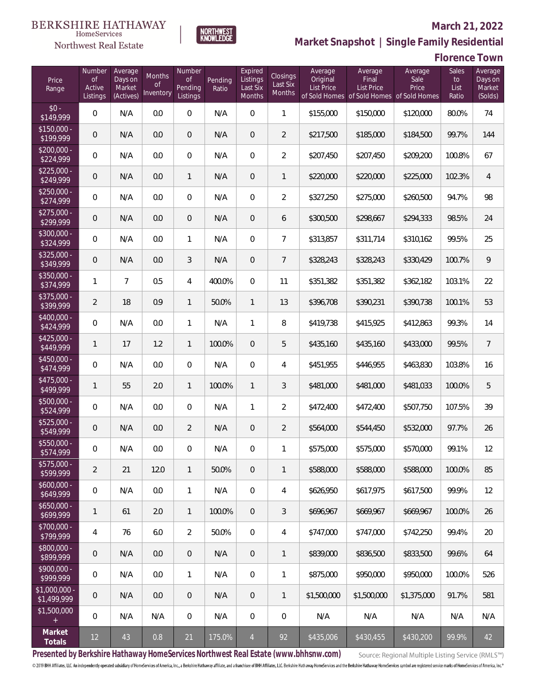# Northwest Real Estate

### **March 21, 2022**

**Market Snapshot | Single Family Residential**

# **Florence Town**

| Price<br>Range                | Number<br><b>of</b><br>Active<br>Listings | Average<br>Days on<br>Market<br>(Actives) | Months<br><b>of</b><br>Inventory | Number<br><b>of</b><br>Pending<br>Listings | Pending<br>Ratio | Expired<br>Listings<br>Last Six<br>Months | Closings<br>Last Six<br><b>Months</b> | Average<br>Original<br><b>List Price</b> | Average<br>Final<br><b>List Price</b> | Average<br>Sale<br>Price<br>of Sold Homes of Sold Homes of Sold Homes | Sales<br>to<br>List<br>Ratio | Average<br>Days on<br>Market<br>(Solds) |
|-------------------------------|-------------------------------------------|-------------------------------------------|----------------------------------|--------------------------------------------|------------------|-------------------------------------------|---------------------------------------|------------------------------------------|---------------------------------------|-----------------------------------------------------------------------|------------------------------|-----------------------------------------|
| $$0 -$<br>\$149,999           | $\overline{0}$                            | N/A                                       | 0.0                              | $\overline{0}$                             | N/A              | $\overline{0}$                            | $\mathbf{1}$                          | \$155,000                                | \$150,000                             | \$120,000                                                             | 80.0%                        | 74                                      |
| $$150,000 -$<br>\$199,999     | $\mathbf 0$                               | N/A                                       | 0.0                              | $\overline{0}$                             | N/A              | $\overline{0}$                            | $\overline{2}$                        | \$217,500                                | \$185,000                             | \$184,500                                                             | 99.7%                        | 144                                     |
| $$200,000 -$<br>\$224,999     | $\overline{0}$                            | N/A                                       | 0.0                              | $\overline{0}$                             | N/A              | $\overline{0}$                            | $\overline{2}$                        | \$207,450                                | \$207,450                             | \$209,200                                                             | 100.8%                       | 67                                      |
| $$225,000 -$<br>\$249,999     | $\mathbf 0$                               | N/A                                       | 0.0                              | $\mathbf{1}$                               | N/A              | 0                                         | $\mathbf{1}$                          | \$220,000                                | \$220,000                             | \$225,000                                                             | 102.3%                       | $\overline{4}$                          |
| $$250,000 -$<br>\$274,999     | $\overline{0}$                            | N/A                                       | 0.0                              | $\overline{0}$                             | N/A              | $\overline{0}$                            | $\overline{a}$                        | \$327,250                                | \$275,000                             | \$260,500                                                             | 94.7%                        | 98                                      |
| $$275,000 -$<br>\$299,999     | $\mathbf 0$                               | N/A                                       | 0.0                              | $\overline{0}$                             | N/A              | 0                                         | 6                                     | \$300,500                                | \$298,667                             | \$294,333                                                             | 98.5%                        | 24                                      |
| $$300,000 -$<br>\$324,999     | $\overline{0}$                            | N/A                                       | 0.0                              | 1                                          | N/A              | $\mathbf 0$                               | $\overline{7}$                        | \$313,857                                | \$311,714                             | \$310,162                                                             | 99.5%                        | 25                                      |
| $$325,000 -$<br>\$349,999     | $\mathbf 0$                               | N/A                                       | 0.0                              | 3                                          | N/A              | $\overline{0}$                            | $\overline{7}$                        | \$328,243                                | \$328,243                             | \$330,429                                                             | 100.7%                       | $\mathcal{G}$                           |
| $$350,000 -$<br>\$374,999     | 1                                         | $\overline{7}$                            | 0.5                              | $\overline{4}$                             | 400.0%           | $\overline{0}$                            | 11                                    | \$351,382                                | \$351,382                             | \$362,182                                                             | 103.1%                       | 22                                      |
| $$375,000 -$<br>\$399,999     | $\overline{2}$                            | 18                                        | 0.9                              | $\mathbf{1}$                               | 50.0%            | $\mathbf{1}$                              | 13                                    | \$396,708                                | \$390,231                             | \$390,738                                                             | 100.1%                       | 53                                      |
| $$400,000 -$<br>\$424,999     | $\mathbf 0$                               | N/A                                       | 0.0                              | 1                                          | N/A              | 1                                         | 8                                     | \$419,738                                | \$415,925                             | \$412,863                                                             | 99.3%                        | 14                                      |
| $$425,000 -$<br>\$449,999     | $\mathbf{1}$                              | 17                                        | 1.2                              | $\mathbf{1}$                               | 100.0%           | $\overline{0}$                            | 5                                     | \$435,160                                | \$435,160                             | \$433,000                                                             | 99.5%                        | $\overline{7}$                          |
| $$450,000 -$<br>\$474,999     | $\overline{0}$                            | N/A                                       | 0.0                              | $\Omega$                                   | N/A              | $\Omega$                                  | 4                                     | \$451,955                                | \$446,955                             | \$463,830                                                             | 103.8%                       | 16                                      |
| \$475,000 -<br>\$499,999      | $\mathbf{1}$                              | 55                                        | 2.0                              | $\mathbf{1}$                               | 100.0%           | $\mathbf{1}$                              | 3                                     | \$481,000                                | \$481,000                             | \$481,033                                                             | 100.0%                       | 5                                       |
| $$500,000 -$<br>\$524,999     | $\overline{0}$                            | N/A                                       | 0.0                              | $\Omega$                                   | N/A              | 1                                         | $\overline{2}$                        | \$472,400                                | \$472,400                             | \$507,750                                                             | 107.5%                       | 39                                      |
| $$525,000 -$<br>\$549,999     | $\mathbf 0$                               | N/A                                       | 0.0                              | $\overline{2}$                             | N/A              | $\overline{0}$                            | $\overline{2}$                        | \$564,000                                | \$544,450                             | \$532,000                                                             | 97.7%                        | 26                                      |
| $$550,000 -$<br>\$574,999     | $\overline{0}$                            | N/A                                       | 0.0                              | $\overline{0}$                             | N/A              | $\overline{0}$                            | $\mathbf{1}$                          | \$575,000                                | \$575,000                             | \$570,000                                                             | 99.1%                        | 12                                      |
| \$575,000 -<br>\$599,999      | $\overline{2}$                            | 21                                        | 12.0                             | 1                                          | 50.0%            | 0                                         | 1                                     | \$588,000                                | \$588,000                             | \$588,000                                                             | 100.0%                       | 85                                      |
| $$600,000 -$<br>\$649,999     | 0                                         | N/A                                       | 0.0                              | $\mathbf{1}$                               | N/A              | $\boldsymbol{0}$                          | 4                                     | \$626,950                                | \$617,975                             | \$617,500                                                             | 99.9%                        | 12                                      |
| $$650,000 -$<br>\$699,999     | $\mathbf{1}$                              | 61                                        | 2.0                              | $\mathbf{1}$                               | 100.0%           | $\mathbf 0$                               | 3                                     | \$696,967                                | \$669,967                             | \$669,967                                                             | 100.0%                       | 26                                      |
| \$700,000 -<br>\$799,999      | 4                                         | 76                                        | $6.0\,$                          | $\overline{2}$                             | 50.0%            | $\mathbf 0$                               | 4                                     | \$747,000                                | \$747,000                             | \$742,250                                                             | 99.4%                        | 20                                      |
| \$800,000 -<br>\$899,999      | 0                                         | N/A                                       | 0.0                              | $\overline{0}$                             | N/A              | $\overline{0}$                            | 1                                     | \$839,000                                | \$836,500                             | \$833,500                                                             | 99.6%                        | 64                                      |
| \$900,000 -<br>\$999,999      | 0                                         | N/A                                       | 0.0                              | $\mathbf{1}$                               | N/A              | $\mathbf 0$                               | 1                                     | \$875,000                                | \$950,000                             | \$950,000                                                             | 100.0%                       | 526                                     |
| $$1,000,000$ -<br>\$1,499,999 | 0                                         | N/A                                       | $0.0\,$                          | $\overline{0}$                             | N/A              | $\overline{0}$                            | 1                                     | \$1,500,000                              | \$1,500,000                           | \$1,375,000                                                           | 91.7%                        | 581                                     |
| \$1,500,000<br>$+$            | 0                                         | N/A                                       | N/A                              | $\overline{0}$                             | N/A              | $\boldsymbol{0}$                          | 0                                     | N/A                                      | N/A                                   | N/A                                                                   | N/A                          | N/A                                     |
| Market<br>Totals              | 12                                        | 43                                        | $0.8\,$                          | 21                                         | 175.0%           | $\overline{4}$                            | 92                                    | \$435,006                                | \$430,455                             | \$430,200                                                             | 99.9%                        | 42                                      |

NORTHWEST<br>KNOWLFDGF

**Presented by Berkshire Hathaway HomeServices Northwest Real Estate (www.bhhsnw.com)**

Source: Regional Multiple Listing Service (RMLS™)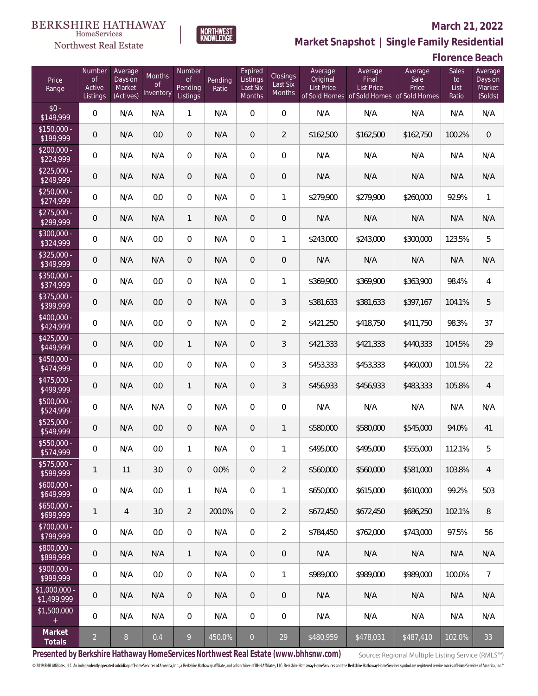# Northwest Real Estate

### **March 21, 2022**

**Market Snapshot | Single Family Residential**

**Florence Beach**

| Price<br>Range                       | Number<br><b>of</b><br>Active<br>Listings | Average<br>Days on<br>Market<br>(Actives) | <b>Months</b><br><b>of</b><br>Inventory | Number<br><b>of</b><br>Pending<br>Listings | Pending<br>Ratio | Expired<br>Listings<br>Last Six<br>Months | Closings<br>Last Six<br>Months | Average<br>Original<br>List Price | Average<br>Final<br>List Price | Average<br>Sale<br>Price<br>of Sold Homes of Sold Homes of Sold Homes | Sales<br>to<br>List<br>Ratio | Average<br>Days on<br>Market<br>(Solds) |
|--------------------------------------|-------------------------------------------|-------------------------------------------|-----------------------------------------|--------------------------------------------|------------------|-------------------------------------------|--------------------------------|-----------------------------------|--------------------------------|-----------------------------------------------------------------------|------------------------------|-----------------------------------------|
| $$0 -$<br>\$149,999                  | $\overline{0}$                            | N/A                                       | N/A                                     | 1                                          | N/A              | $\bigcirc$                                | $\overline{0}$                 | N/A                               | N/A                            | N/A                                                                   | N/A                          | N/A                                     |
| $$150,000 -$<br>\$199,999            | $\overline{0}$                            | N/A                                       | 0.0                                     | $\overline{0}$                             | N/A              | $\overline{0}$                            | $\overline{2}$                 | \$162,500                         | \$162,500                      | \$162,750                                                             | 100.2%                       | $\overline{0}$                          |
| \$200,000 -<br>\$224,999             | $\overline{0}$                            | N/A                                       | N/A                                     | $\overline{0}$                             | N/A              | $\Omega$                                  | $\overline{0}$                 | N/A                               | N/A                            | N/A                                                                   | N/A                          | N/A                                     |
| $$225,000 -$<br>\$249,999            | $\overline{0}$                            | N/A                                       | N/A                                     | $\overline{0}$                             | N/A              | $\overline{0}$                            | $\overline{0}$                 | N/A                               | N/A                            | N/A                                                                   | N/A                          | N/A                                     |
| $\overline{$250,000}$ -<br>\$274,999 | $\overline{0}$                            | N/A                                       | 0.0                                     | $\Omega$                                   | N/A              | $\Omega$                                  | $\mathbf{1}$                   | \$279,900                         | \$279,900                      | \$260,000                                                             | 92.9%                        | $\mathbf{1}$                            |
| $\overline{$275,000}$ -<br>\$299,999 | $\overline{0}$                            | N/A                                       | N/A                                     | $\mathbf{1}$                               | N/A              | $\overline{0}$                            | $\overline{0}$                 | N/A                               | N/A                            | N/A                                                                   | N/A                          | N/A                                     |
| \$300,000 -<br>\$324,999             | $\overline{0}$                            | N/A                                       | 0.0                                     | $\overline{0}$                             | N/A              | $\overline{0}$                            | $\mathbf{1}$                   | \$243,000                         | \$243,000                      | \$300,000                                                             | 123.5%                       | 5                                       |
| $$325,000 -$<br>\$349,999            | $\overline{0}$                            | N/A                                       | N/A                                     | $\overline{0}$                             | N/A              | $\overline{0}$                            | $\overline{0}$                 | N/A                               | N/A                            | N/A                                                                   | N/A                          | N/A                                     |
| $$350,000 -$<br>\$374,999            | $\overline{0}$                            | N/A                                       | 0.0                                     | $\overline{0}$                             | N/A              | $\bigcirc$                                | $\mathbf{1}$                   | \$369,900                         | \$369,900                      | \$363,900                                                             | 98.4%                        | $\overline{4}$                          |
| $$375,000 -$<br>\$399,999            | $\overline{0}$                            | N/A                                       | 0.0                                     | $\overline{0}$                             | N/A              | $\overline{0}$                            | 3                              | \$381,633                         | \$381,633                      | \$397,167                                                             | 104.1%                       | 5                                       |
| $$400,000 -$<br>\$424,999            | $\overline{0}$                            | N/A                                       | 0.0                                     | $\overline{0}$                             | N/A              | $\bigcirc$                                | $\overline{2}$                 | \$421,250                         | \$418,750                      | \$411,750                                                             | 98.3%                        | 37                                      |
| $$425,000 -$<br>\$449,999            | $\overline{0}$                            | N/A                                       | 0.0                                     | $\mathbf{1}$                               | N/A              | $\overline{0}$                            | 3                              | \$421,333                         | \$421,333                      | \$440,333                                                             | 104.5%                       | 29                                      |
| $$450,000 -$<br>\$474,999            | $\mathbf{0}$                              | N/A                                       | 0.0                                     | $\overline{0}$                             | N/A              | $\overline{0}$                            | 3                              | \$453,333                         | \$453,333                      | \$460,000                                                             | 101.5%                       | 22                                      |
| $$475,000 -$<br>\$499,999            | $\overline{0}$                            | N/A                                       | 0.0                                     | $\mathbf{1}$                               | N/A              | $\overline{0}$                            | 3                              | \$456,933                         | \$456,933                      | \$483,333                                                             | 105.8%                       | $\overline{4}$                          |
| $$500,000 -$<br>\$524,999            | $\overline{0}$                            | N/A                                       | N/A                                     | $\overline{0}$                             | N/A              | $\Omega$                                  | $\overline{0}$                 | N/A                               | N/A                            | N/A                                                                   | N/A                          | N/A                                     |
| $$525,000 -$<br>\$549,999            | $\sqrt{0}$                                | N/A                                       | 0.0                                     | $\overline{0}$                             | N/A              | $\overline{0}$                            | $\mathbf{1}$                   | \$580,000                         | \$580,000                      | \$545,000                                                             | 94.0%                        | 41                                      |
| \$550,000 -<br>\$574,999             | 0                                         | N/A                                       | 0.0                                     | 1                                          | N/A              | $\overline{0}$                            | 1                              | \$495,000                         | \$495,000                      | \$555,000                                                             | 112.1%                       | 5                                       |
| \$575,000 -<br>\$599,999             | $\mathbf{1}$                              | 11                                        | 3.0                                     | $\sqrt{0}$                                 | 0.0%             | $\overline{0}$                            | $\overline{2}$                 | \$560,000                         | \$560,000                      | \$581,000                                                             | 103.8%                       | $\overline{4}$                          |
| $$600,000 -$<br>\$649,999            | $\,0\,$                                   | N/A                                       | 0.0                                     | $\mathbf{1}$                               | N/A              | $\mathbf 0$                               | $\mathbf{1}$                   | \$650,000                         | \$615,000                      | \$610,000                                                             | 99.2%                        | 503                                     |
| $$650,000 -$<br>\$699,999            | $\mathbf{1}$                              | $\overline{4}$                            | 3.0                                     | $\overline{2}$                             | 200.0%           | $\overline{0}$                            | $\overline{2}$                 | \$672,450                         | \$672,450                      | \$686,250                                                             | 102.1%                       | 8                                       |
| \$700,000 -<br>\$799,999             | $\,0\,$                                   | N/A                                       | 0.0                                     | $\mathbf 0$                                | N/A              | $\mathbf 0$                               | $\overline{2}$                 | \$784,450                         | \$762,000                      | \$743,000                                                             | 97.5%                        | 56                                      |
| \$800,000 -<br>\$899,999             | $\mathbf 0$                               | N/A                                       | N/A                                     | $\overline{1}$                             | N/A              | $\overline{0}$                            | $\mathbf 0$                    | N/A                               | N/A                            | N/A                                                                   | N/A                          | N/A                                     |
| \$900,000 -<br>\$999,999             | $\,0\,$                                   | N/A                                       | 0.0                                     | $\mathbf 0$                                | N/A              | $\mathbf 0$                               | $\mathbf{1}$                   | \$989,000                         | \$989,000                      | \$989,000                                                             | 100.0%                       | $\overline{7}$                          |
| \$1,000,000 -<br>\$1,499,999         | $\mathbf 0$                               | N/A                                       | N/A                                     | $\sqrt{0}$                                 | N/A              | $\overline{0}$                            | $\overline{0}$                 | N/A                               | N/A                            | N/A                                                                   | N/A                          | N/A                                     |
| \$1,500,000<br>$+$                   | $\mathbf 0$                               | N/A                                       | N/A                                     | $\mathbf 0$                                | N/A              | $\mathbf 0$                               | $\mathbf 0$                    | N/A                               | N/A                            | N/A                                                                   | N/A                          | N/A                                     |
| Market<br>Totals                     | $\overline{a}$                            | $\, 8$                                    | 0.4                                     | $\overline{9}$                             | 450.0%           | $\boldsymbol{0}$                          | 29                             | \$480,959                         | \$478,031                      | \$487,410                                                             | 102.0%                       | 33                                      |

NORTHWEST<br>KNOWLFDGF

**Presented by Berkshire Hathaway HomeServices Northwest Real Estate (www.bhhsnw.com)**

Source: Regional Multiple Listing Service (RMLS™)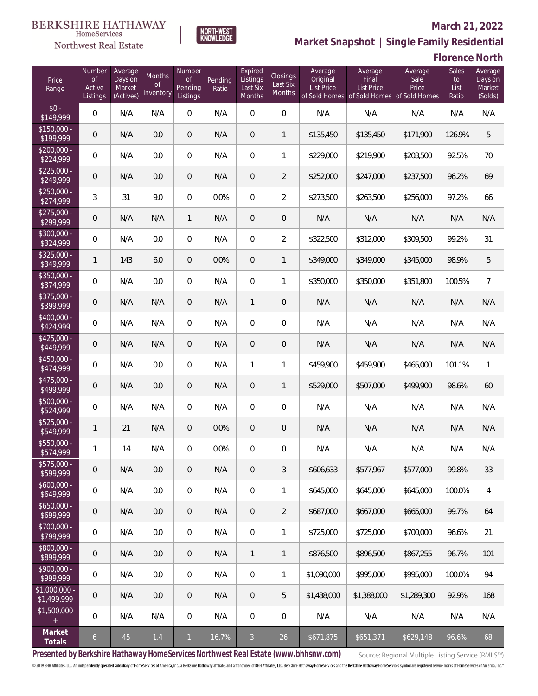# Northwest Real Estate

### **March 21, 2022**

**Market Snapshot | Single Family Residential**

# **Florence North**

| Price<br>Range                | Number<br><b>of</b><br>Active<br>Listings | Average<br>Days on<br>Market<br>(Actives) | Months<br><b>of</b><br>Inventory | Number<br><b>of</b><br>Pending<br>Listings | Pending<br>Ratio | Expired<br>Listings<br>Last Six<br>Months | Closings<br>Last Six<br>Months | Average<br>Original<br><b>List Price</b> | Average<br>Final<br><b>List Price</b><br>of Sold Homes of Sold Homes of Sold Homes | Average<br>Sale<br>Price | Sales<br>to<br>List<br>Ratio | Average<br>Days on<br>Market<br>(Solds) |
|-------------------------------|-------------------------------------------|-------------------------------------------|----------------------------------|--------------------------------------------|------------------|-------------------------------------------|--------------------------------|------------------------------------------|------------------------------------------------------------------------------------|--------------------------|------------------------------|-----------------------------------------|
| $$0 -$<br>\$149,999           | $\overline{0}$                            | N/A                                       | N/A                              | $\overline{0}$                             | N/A              | $\overline{0}$                            | $\overline{0}$                 | N/A                                      | N/A                                                                                | N/A                      | N/A                          | N/A                                     |
| $$150,000 -$<br>\$199,999     | $\overline{0}$                            | N/A                                       | 0.0                              | $\overline{0}$                             | N/A              | 0                                         | $\mathbf{1}$                   | \$135,450                                | \$135,450                                                                          | \$171,900                | 126.9%                       | 5                                       |
| $$200,000 -$<br>\$224,999     | 0                                         | N/A                                       | 0.0                              | $\overline{0}$                             | N/A              | $\overline{0}$                            | 1                              | \$229,000                                | \$219,900                                                                          | \$203,500                | 92.5%                        | 70                                      |
| $$225,000 -$<br>\$249,999     | $\overline{0}$                            | N/A                                       | 0.0                              | $\overline{0}$                             | N/A              | 0                                         | $\overline{2}$                 | \$252,000                                | \$247,000                                                                          | \$237,500                | 96.2%                        | 69                                      |
| $$250,000 -$<br>\$274,999     | 3                                         | 31                                        | 9.0                              | $\overline{0}$                             | 0.0%             | $\Omega$                                  | $\overline{2}$                 | \$273,500                                | \$263,500                                                                          | \$256,000                | 97.2%                        | 66                                      |
| $$275,000 -$<br>\$299,999     | $\overline{0}$                            | N/A                                       | N/A                              | $\mathbf{1}$                               | N/A              | $\overline{0}$                            | $\mathbf 0$                    | N/A                                      | N/A                                                                                | N/A                      | N/A                          | N/A                                     |
| $$300,000 -$<br>\$324,999     | 0                                         | N/A                                       | 0.0                              | $\overline{0}$                             | N/A              | $\overline{0}$                            | $\overline{2}$                 | \$322,500                                | \$312,000                                                                          | \$309,500                | 99.2%                        | 31                                      |
| $$325,000 -$<br>\$349,999     | $\mathbf{1}$                              | 143                                       | 6.0                              | $\overline{0}$                             | 0.0%             | $\overline{0}$                            | $\mathbf{1}$                   | \$349,000                                | \$349,000                                                                          | \$345,000                | 98.9%                        | 5                                       |
| $$350,000 -$<br>\$374,999     | 0                                         | N/A                                       | 0.0                              | $\overline{0}$                             | N/A              | $\mathbf 0$                               | 1                              | \$350,000                                | \$350,000                                                                          | \$351,800                | 100.5%                       | $\overline{7}$                          |
| $$375,000 -$<br>\$399,999     | $\overline{0}$                            | N/A                                       | N/A                              | $\overline{0}$                             | N/A              | 1                                         | $\boldsymbol{0}$               | N/A                                      | N/A                                                                                | N/A                      | N/A                          | N/A                                     |
| $$400,000 -$<br>\$424,999     | 0                                         | N/A                                       | N/A                              | $\overline{0}$                             | N/A              | $\overline{0}$                            | $\overline{0}$                 | N/A                                      | N/A                                                                                | N/A                      | N/A                          | N/A                                     |
| $$425,000 -$<br>\$449,999     | $\overline{0}$                            | N/A                                       | N/A                              | $\overline{0}$                             | N/A              | $\overline{0}$                            | $\mathbf 0$                    | N/A                                      | N/A                                                                                | N/A                      | N/A                          | N/A                                     |
| $$450,000 -$<br>\$474,999     | 0                                         | N/A                                       | 0.0                              | $\Omega$                                   | N/A              | $\mathbf{1}$                              | 1                              | \$459,900                                | \$459,900                                                                          | \$465,000                | 101.1%                       | $\mathbf{1}$                            |
| $$475,000 -$<br>\$499,999     | $\overline{0}$                            | N/A                                       | 0.0                              | $\overline{0}$                             | N/A              | $\overline{0}$                            | $\mathbf{1}$                   | \$529,000                                | \$507,000                                                                          | \$499,900                | 98.6%                        | 60                                      |
| \$500,000 -<br>\$524,999      | $\overline{0}$                            | N/A                                       | N/A                              | $\Omega$                                   | N/A              | $\Omega$                                  | $\overline{0}$                 | N/A                                      | N/A                                                                                | N/A                      | N/A                          | N/A                                     |
| $$525,000 -$<br>\$549,999     | $\mathbf{1}$                              | 21                                        | N/A                              | $\overline{0}$                             | 0.0%             | $\overline{0}$                            | $\overline{0}$                 | N/A                                      | N/A                                                                                | N/A                      | N/A                          | N/A                                     |
| $$550,000 -$<br>\$574,999     | 1                                         | 14                                        | N/A                              | $\overline{0}$                             | 0.0%             | $\Omega$                                  | $\overline{0}$                 | N/A                                      | N/A                                                                                | N/A                      | N/A                          | N/A                                     |
| \$575,000 -<br>\$599,999      | 0                                         | N/A                                       | 0.0                              | $\theta$                                   | N/A              | 0                                         | 3                              | \$606,633                                | \$577,967                                                                          | \$577,000                | 99.8%                        | 33                                      |
| $$600,000 -$<br>\$649,999     | 0                                         | N/A                                       | 0.0                              | $\mathbf 0$                                | N/A              | $\boldsymbol{0}$                          | 1                              | \$645,000                                | \$645,000                                                                          | \$645,000                | 100.0%                       | $\overline{4}$                          |
| $$650,000 -$<br>\$699,999     | 0                                         | N/A                                       | 0.0                              | $\overline{0}$                             | N/A              | $\mathbf 0$                               | $\overline{2}$                 | \$687,000                                | \$667,000                                                                          | \$665,000                | 99.7%                        | 64                                      |
| \$700,000 -<br>\$799,999      | 0                                         | N/A                                       | 0.0                              | $\mathbf 0$                                | N/A              | $\mathbf 0$                               | 1                              | \$725,000                                | \$725,000                                                                          | \$700,000                | 96.6%                        | 21                                      |
| \$800,000 -<br>\$899,999      | 0                                         | N/A                                       | 0.0                              | $\mathbf{0}$                               | N/A              | $\mathbf{1}$                              | $\mathbf{1}$                   | \$876,500                                | \$896,500                                                                          | \$867,255                | 96.7%                        | 101                                     |
| \$900,000 -<br>\$999,999      | 0                                         | N/A                                       | 0.0                              | $\mathbf 0$                                | N/A              | $\mathbf 0$                               | 1                              | \$1,090,000                              | \$995,000                                                                          | \$995,000                | 100.0%                       | 94                                      |
| $$1,000,000$ -<br>\$1,499,999 | 0                                         | N/A                                       | 0.0                              | $\overline{0}$                             | N/A              | $\overline{0}$                            | 5                              | \$1,438,000                              | \$1,388,000                                                                        | \$1,289,300              | 92.9%                        | 168                                     |
| \$1,500,000<br>$+$            | 0                                         | N/A                                       | N/A                              | $\,0\,$                                    | N/A              | $\mathbf 0$                               | 0                              | N/A                                      | N/A                                                                                | N/A                      | N/A                          | N/A                                     |
| Market<br>Totals              | $\ddot{\circ}$                            | 45                                        | $1.4\,$                          | $\mathbf{1}$                               | 16.7%            | $\mathfrak{Z}$                            | $26\,$                         | \$671,875                                | \$651,371                                                                          | \$629,148                | 96.6%                        | 68                                      |

NORTHWEST<br>KNOWLFDGF

**Presented by Berkshire Hathaway HomeServices Northwest Real Estate (www.bhhsnw.com)**

Source: Regional Multiple Listing Service (RMLS™)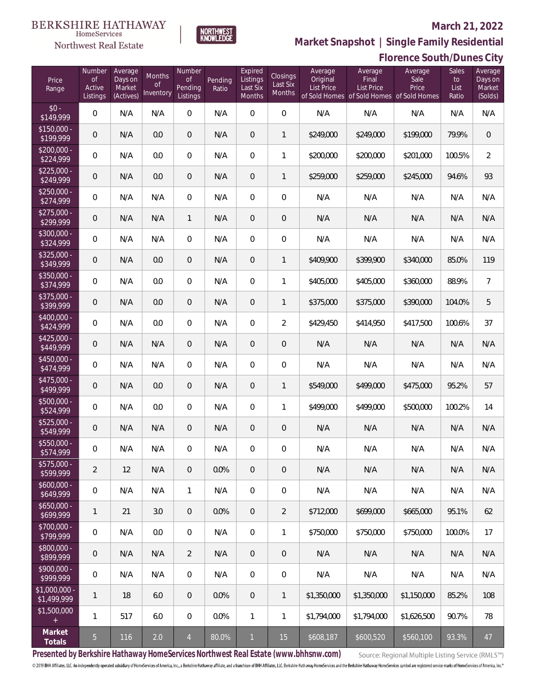# $\begin{array}{llll} \texttt{BERKSHIRE} \texttt{ HATHAWAY} \\ \texttt{\tiny HomeServices} \end{array}$

# Northwest Real Estate

# **March 21, 2022**



| Florence South/Dunes City |  |
|---------------------------|--|
|---------------------------|--|

| Price<br>Range                | Number<br><b>of</b><br>Active<br>Listings | Average<br>Days on<br>Market<br>(Actives) | Months<br><b>of</b><br>Inventory | Number<br><b>of</b><br>Pending<br>Listings | Pending<br>Ratio | Expired<br>Listings<br>Last Six<br>Months | Closings<br>Last Six<br><b>Months</b> | Average<br>Original<br><b>List Price</b> | Average<br>Final<br>List Price<br>of Sold Homes of Sold Homes of Sold Homes | Average<br>Sale<br>Price | Sales<br>to<br>List<br>Ratio | Average<br>Days on<br>Market<br>(Solds) |
|-------------------------------|-------------------------------------------|-------------------------------------------|----------------------------------|--------------------------------------------|------------------|-------------------------------------------|---------------------------------------|------------------------------------------|-----------------------------------------------------------------------------|--------------------------|------------------------------|-----------------------------------------|
| $$0 -$<br>\$149,999           | $\boldsymbol{0}$                          | N/A                                       | N/A                              | $\overline{0}$                             | N/A              | $\overline{0}$                            | $\overline{0}$                        | N/A                                      | N/A                                                                         | N/A                      | N/A                          | N/A                                     |
| $$150,000 -$<br>\$199,999     | $\mathbf 0$                               | N/A                                       | 0.0                              | $\mathbf 0$                                | N/A              | $\overline{0}$                            | 1                                     | \$249,000                                | \$249,000                                                                   | \$199,000                | 79.9%                        | $\overline{0}$                          |
| $$200,000 -$<br>\$224,999     | $\mathbf 0$                               | N/A                                       | 0.0                              | $\overline{0}$                             | N/A              | $\mathbf 0$                               | 1                                     | \$200,000                                | \$200,000                                                                   | \$201,000                | 100.5%                       | $\overline{2}$                          |
| $$225,000 -$<br>\$249,999     | $\mathbf 0$                               | N/A                                       | 0.0                              | $\mathbf 0$                                | N/A              | $\overline{0}$                            | 1                                     | \$259,000                                | \$259,000                                                                   | \$245,000                | 94.6%                        | 93                                      |
| $$250,000 -$<br>\$274,999     | $\mathbf 0$                               | N/A                                       | N/A                              | $\overline{0}$                             | N/A              | $\overline{0}$                            | $\overline{0}$                        | N/A                                      | N/A                                                                         | N/A                      | N/A                          | N/A                                     |
| $$275,000 -$<br>\$299,999     | $\overline{0}$                            | N/A                                       | N/A                              | $\mathbf{1}$                               | N/A              | $\overline{0}$                            | $\mathbf 0$                           | N/A                                      | N/A                                                                         | N/A                      | N/A                          | N/A                                     |
| \$300,000 -<br>\$324,999      | $\boldsymbol{0}$                          | N/A                                       | N/A                              | $\overline{0}$                             | N/A              | $\overline{0}$                            | $\overline{0}$                        | N/A                                      | N/A                                                                         | N/A                      | N/A                          | N/A                                     |
| $$325,000 -$<br>\$349,999     | $\overline{0}$                            | N/A                                       | 0.0                              | $\overline{0}$                             | N/A              | $\overline{0}$                            | 1                                     | \$409,900                                | \$399,900                                                                   | \$340,000                | 85.0%                        | 119                                     |
| $$350,000 -$<br>\$374,999     | $\boldsymbol{0}$                          | N/A                                       | 0.0                              | $\overline{0}$                             | N/A              | $\mathbf 0$                               | 1                                     | \$405,000                                | \$405,000                                                                   | \$360,000                | 88.9%                        | $\overline{7}$                          |
| $$375,000 -$<br>\$399,999     | $\overline{0}$                            | N/A                                       | 0.0                              | $\overline{0}$                             | N/A              | $\overline{0}$                            | 1                                     | \$375,000                                | \$375,000                                                                   | \$390,000                | 104.0%                       | 5                                       |
| $$400,000 -$<br>\$424,999     | $\boldsymbol{0}$                          | N/A                                       | 0.0                              | $\overline{0}$                             | N/A              | $\overline{0}$                            | $\overline{2}$                        | \$429,450                                | \$414,950                                                                   | \$417,500                | 100.6%                       | 37                                      |
| $$425,000 -$<br>\$449,999     | $\boldsymbol{0}$                          | N/A                                       | N/A                              | $\overline{0}$                             | N/A              | $\overline{0}$                            | $\overline{0}$                        | N/A                                      | N/A                                                                         | N/A                      | N/A                          | N/A                                     |
| \$450,000 -<br>\$474,999      | $\boldsymbol{0}$                          | N/A                                       | N/A                              | $\overline{0}$                             | N/A              | $\Omega$                                  | $\overline{0}$                        | N/A                                      | N/A                                                                         | N/A                      | N/A                          | N/A                                     |
| $$475,000 -$<br>\$499,999     | $\boldsymbol{0}$                          | N/A                                       | 0.0                              | $\overline{0}$                             | N/A              | $\overline{0}$                            | $\mathbf{1}$                          | \$549,000                                | \$499,000                                                                   | \$475,000                | 95.2%                        | 57                                      |
| \$500,000 -<br>\$524,999      | $\boldsymbol{0}$                          | N/A                                       | 0.0                              | $\overline{0}$                             | N/A              | $\Omega$                                  | 1                                     | \$499,000                                | \$499,000                                                                   | \$500,000                | 100.2%                       | 14                                      |
| $$525,000 -$<br>\$549,999     | $\overline{0}$                            | N/A                                       | N/A                              | $\overline{0}$                             | N/A              | $\overline{0}$                            | $\mathbf 0$                           | N/A                                      | N/A                                                                         | N/A                      | N/A                          | N/A                                     |
| \$550,000 -<br>\$574,999      | $\mathbf 0$                               | N/A                                       | N/A                              | $\overline{0}$                             | N/A              | $\overline{0}$                            | 0                                     | N/A                                      | N/A                                                                         | N/A                      | N/A                          | N/A                                     |
| \$575,000 -<br>\$599,999      | $\overline{2}$                            | 12                                        | N/A                              | $\mathbf 0$                                | 0.0%             | $\mathbf 0$                               | $\mathbf 0$                           | N/A                                      | N/A                                                                         | N/A                      | N/A                          | N/A                                     |
| $$600,000 -$<br>\$649,999     | 0                                         | N/A                                       | N/A                              | $\mathbf{1}$                               | N/A              | $\mathbf{0}$                              | 0                                     | N/A                                      | N/A                                                                         | N/A                      | N/A                          | N/A                                     |
| $$650,000 -$<br>\$699,999     | $\mathbf{1}$                              | 21                                        | 3.0                              | $\overline{0}$                             | 0.0%             | $\overline{0}$                            | $\overline{2}$                        | \$712,000                                | \$699,000                                                                   | \$665,000                | 95.1%                        | 62                                      |
| \$700,000 -<br>\$799,999      | 0                                         | N/A                                       | 0.0                              | 0                                          | N/A              | $\mathbf{0}$                              | 1                                     | \$750,000                                | \$750,000                                                                   | \$750,000                | 100.0%                       | 17                                      |
| \$800,000 -<br>\$899,999      | $\mathbf 0$                               | N/A                                       | N/A                              | $\overline{2}$                             | N/A              | $\overline{0}$                            | $\theta$                              | N/A                                      | N/A                                                                         | N/A                      | N/A                          | N/A                                     |
| \$900,000 -<br>\$999,999      | 0                                         | N/A                                       | N/A                              | $\mathbf 0$                                | N/A              | $\mathbf{0}$                              | $\mathbf 0$                           | N/A                                      | N/A                                                                         | N/A                      | N/A                          | N/A                                     |
| $$1,000,000$ -<br>\$1,499,999 | $\mathbf{1}$                              | 18                                        | 6.0                              | $\overline{0}$                             | 0.0%             | $\overline{0}$                            | $\mathbf{1}$                          | \$1,350,000                              | \$1,350,000                                                                 | \$1,150,000              | 85.2%                        | 108                                     |
| \$1,500,000<br>$^{+}$         | $\mathbf{1}$                              | 517                                       | 6.0                              | 0                                          | 0.0%             | $\mathbf{1}$                              | $\mathbf{1}$                          | \$1,794,000                              | \$1,794,000                                                                 | \$1,626,500              | 90.7%                        | 78                                      |
| Market<br>Totals              | $\overline{5}$                            | 116                                       | 2.0                              | $\overline{4}$                             | 80.0%            | $\mathbf{1}$                              | 15                                    | \$608,187                                | \$600,520                                                                   | \$560,100                | 93.3%                        | 47                                      |

NORTHWEST<br>KNOWLFDGF

**Presented by Berkshire Hathaway HomeServices Northwest Real Estate (www.bhhsnw.com)**

Source: Regional Multiple Listing Service (RMLS™)